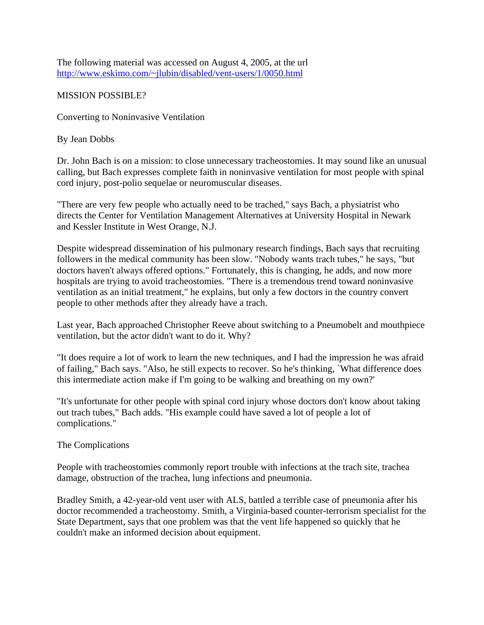The following material was accessed on August 4, 2005, at the url <http://www.eskimo.com/~jlubin/disabled/vent-users/1/0050.html>

# MISSION POSSIBLE?

Converting to Noninvasive Ventilation

By Jean Dobbs

Dr. John Bach is on a mission: to close unnecessary tracheostomies. It may sound like an unusual calling, but Bach expresses complete faith in noninvasive ventilation for most people with spinal cord injury, post-polio sequelae or neuromuscular diseases.

"There are very few people who actually need to be trached," says Bach, a physiatrist who directs the Center for Ventilation Management Alternatives at University Hospital in Newark and Kessler Institute in West Orange, N.J.

Despite widespread dissemination of his pulmonary research findings, Bach says that recruiting followers in the medical community has been slow. "Nobody wants trach tubes," he says, "but doctors haven't always offered options." Fortunately, this is changing, he adds, and now more hospitals are trying to avoid tracheostomies. "There is a tremendous trend toward noninvasive ventilation as an initial treatment," he explains, but only a few doctors in the country convert people to other methods after they already have a trach.

Last year, Bach approached Christopher Reeve about switching to a Pneumobelt and mouthpiece ventilation, but the actor didn't want to do it. Why?

"It does require a lot of work to learn the new techniques, and I had the impression he was afraid of failing," Bach says. "Also, he still expects to recover. So he's thinking, `What difference does this intermediate action make if I'm going to be walking and breathing on my own?'

"It's unfortunate for other people with spinal cord injury whose doctors don't know about taking out trach tubes," Bach adds. "His example could have saved a lot of people a lot of complications."

The Complications

People with tracheostomies commonly report trouble with infections at the trach site, trachea damage, obstruction of the trachea, lung infections and pneumonia.

Bradley Smith, a 42-year-old vent user with ALS, battled a terrible case of pneumonia after his doctor recommended a tracheostomy. Smith, a Virginia-based counter-terrorism specialist for the State Department, says that one problem was that the vent life happened so quickly that he couldn't make an informed decision about equipment.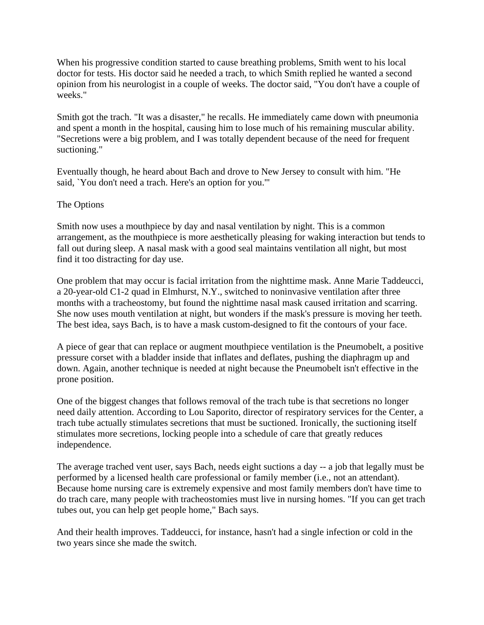When his progressive condition started to cause breathing problems, Smith went to his local doctor for tests. His doctor said he needed a trach, to which Smith replied he wanted a second opinion from his neurologist in a couple of weeks. The doctor said, "You don't have a couple of weeks."

Smith got the trach. "It was a disaster," he recalls. He immediately came down with pneumonia and spent a month in the hospital, causing him to lose much of his remaining muscular ability. "Secretions were a big problem, and I was totally dependent because of the need for frequent suctioning."

Eventually though, he heard about Bach and drove to New Jersey to consult with him. "He said, `You don't need a trach. Here's an option for you.'"

## The Options

Smith now uses a mouthpiece by day and nasal ventilation by night. This is a common arrangement, as the mouthpiece is more aesthetically pleasing for waking interaction but tends to fall out during sleep. A nasal mask with a good seal maintains ventilation all night, but most find it too distracting for day use.

One problem that may occur is facial irritation from the nighttime mask. Anne Marie Taddeucci, a 20-year-old C1-2 quad in Elmhurst, N.Y., switched to noninvasive ventilation after three months with a tracheostomy, but found the nighttime nasal mask caused irritation and scarring. She now uses mouth ventilation at night, but wonders if the mask's pressure is moving her teeth. The best idea, says Bach, is to have a mask custom-designed to fit the contours of your face.

A piece of gear that can replace or augment mouthpiece ventilation is the Pneumobelt, a positive pressure corset with a bladder inside that inflates and deflates, pushing the diaphragm up and down. Again, another technique is needed at night because the Pneumobelt isn't effective in the prone position.

One of the biggest changes that follows removal of the trach tube is that secretions no longer need daily attention. According to Lou Saporito, director of respiratory services for the Center, a trach tube actually stimulates secretions that must be suctioned. Ironically, the suctioning itself stimulates more secretions, locking people into a schedule of care that greatly reduces independence.

The average trached vent user, says Bach, needs eight suctions a day -- a job that legally must be performed by a licensed health care professional or family member (i.e., not an attendant). Because home nursing care is extremely expensive and most family members don't have time to do trach care, many people with tracheostomies must live in nursing homes. "If you can get trach tubes out, you can help get people home," Bach says.

And their health improves. Taddeucci, for instance, hasn't had a single infection or cold in the two years since she made the switch.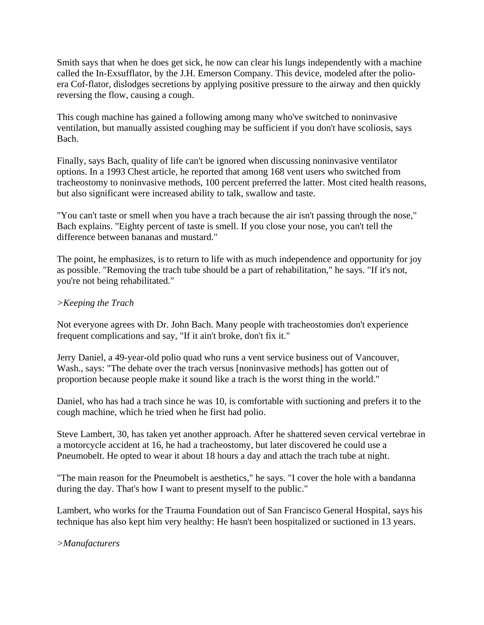Smith says that when he does get sick, he now can clear his lungs independently with a machine called the In-Exsufflator, by the J.H. Emerson Company. This device, modeled after the polioera Cof-flator, dislodges secretions by applying positive pressure to the airway and then quickly reversing the flow, causing a cough.

This cough machine has gained a following among many who've switched to noninvasive ventilation, but manually assisted coughing may be sufficient if you don't have scoliosis, says Bach.

Finally, says Bach, quality of life can't be ignored when discussing noninvasive ventilator options. In a 1993 Chest article, he reported that among 168 vent users who switched from tracheostomy to noninvasive methods, 100 percent preferred the latter. Most cited health reasons, but also significant were increased ability to talk, swallow and taste.

"You can't taste or smell when you have a trach because the air isn't passing through the nose," Bach explains. "Eighty percent of taste is smell. If you close your nose, you can't tell the difference between bananas and mustard."

The point, he emphasizes, is to return to life with as much independence and opportunity for joy as possible. "Removing the trach tube should be a part of rehabilitation," he says. "If it's not, you're not being rehabilitated."

## *>Keeping the Trach*

Not everyone agrees with Dr. John Bach. Many people with tracheostomies don't experience frequent complications and say, "If it ain't broke, don't fix it."

Jerry Daniel, a 49-year-old polio quad who runs a vent service business out of Vancouver, Wash., says: "The debate over the trach versus [noninvasive methods] has gotten out of proportion because people make it sound like a trach is the worst thing in the world."

Daniel, who has had a trach since he was 10, is comfortable with suctioning and prefers it to the cough machine, which he tried when he first had polio.

Steve Lambert, 30, has taken yet another approach. After he shattered seven cervical vertebrae in a motorcycle accident at 16, he had a tracheostomy, but later discovered he could use a Pneumobelt. He opted to wear it about 18 hours a day and attach the trach tube at night.

"The main reason for the Pneumobelt is aesthetics," he says. "I cover the hole with a bandanna during the day. That's how I want to present myself to the public."

Lambert, who works for the Trauma Foundation out of San Francisco General Hospital, says his technique has also kept him very healthy: He hasn't been hospitalized or suctioned in 13 years.

### *>Manufacturers*